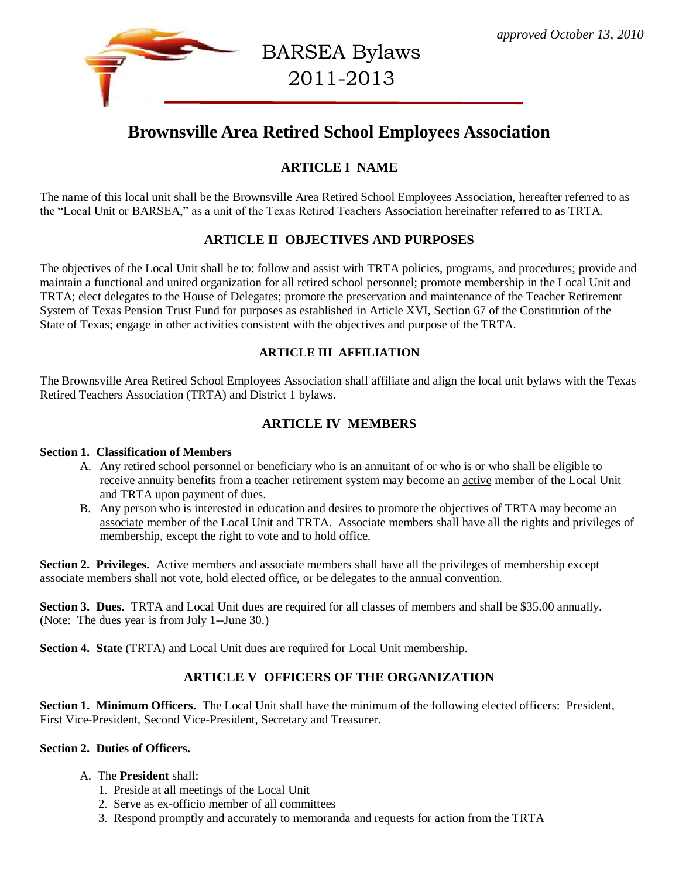

BARSEA Bylaws 2011-2013

# **Brownsville Area Retired School Employees Association**

# **ARTICLE I NAME**

The name of this local unit shall be the Brownsville Area Retired School Employees Association, hereafter referred to as the "Local Unit or BARSEA," as a unit of the Texas Retired Teachers Association hereinafter referred to as TRTA.

# **ARTICLE II OBJECTIVES AND PURPOSES**

The objectives of the Local Unit shall be to: follow and assist with TRTA policies, programs, and procedures; provide and maintain a functional and united organization for all retired school personnel; promote membership in the Local Unit and TRTA; elect delegates to the House of Delegates; promote the preservation and maintenance of the Teacher Retirement System of Texas Pension Trust Fund for purposes as established in Article XVI, Section 67 of the Constitution of the State of Texas; engage in other activities consistent with the objectives and purpose of the TRTA.

#### **ARTICLE III AFFILIATION**

The Brownsville Area Retired School Employees Association shall affiliate and align the local unit bylaws with the Texas Retired Teachers Association (TRTA) and District 1 bylaws.

# **ARTICLE IV MEMBERS**

#### **Section 1. Classification of Members**

- A. Any retired school personnel or beneficiary who is an annuitant of or who is or who shall be eligible to receive annuity benefits from a teacher retirement system may become an active member of the Local Unit and TRTA upon payment of dues.
- B. Any person who is interested in education and desires to promote the objectives of TRTA may become an associate member of the Local Unit and TRTA. Associate members shall have all the rights and privileges of membership, except the right to vote and to hold office.

**Section 2. Privileges.** Active members and associate members shall have all the privileges of membership except associate members shall not vote, hold elected office, or be delegates to the annual convention.

**Section 3. Dues.** TRTA and Local Unit dues are required for all classes of members and shall be \$35.00 annually. (Note: The dues year is from July 1--June 30.)

**Section 4. State** (TRTA) and Local Unit dues are required for Local Unit membership.

# **ARTICLE V OFFICERS OF THE ORGANIZATION**

**Section 1. Minimum Officers.** The Local Unit shall have the minimum of the following elected officers: President, First Vice-President, Second Vice-President, Secretary and Treasurer.

#### **Section 2. Duties of Officers.**

#### A. The **President** shall:

- 1. Preside at all meetings of the Local Unit
- 2. Serve as ex-officio member of all committees
- 3. Respond promptly and accurately to memoranda and requests for action from the TRTA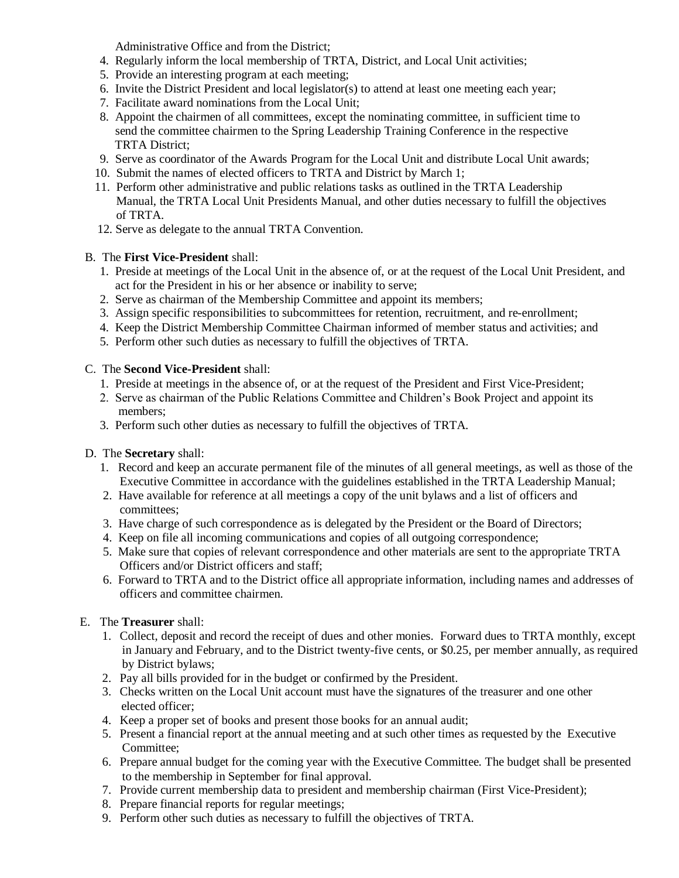Administrative Office and from the District;

- 4. Regularly inform the local membership of TRTA, District, and Local Unit activities;
- 5. Provide an interesting program at each meeting;
- 6. Invite the District President and local legislator(s) to attend at least one meeting each year;
- 7. Facilitate award nominations from the Local Unit;
- 8. Appoint the chairmen of all committees, except the nominating committee, in sufficient time to send the committee chairmen to the Spring Leadership Training Conference in the respective TRTA District;
- 9. Serve as coordinator of the Awards Program for the Local Unit and distribute Local Unit awards;
- 10. Submit the names of elected officers to TRTA and District by March 1;
- 11. Perform other administrative and public relations tasks as outlined in the TRTA Leadership Manual, the TRTA Local Unit Presidents Manual, and other duties necessary to fulfill the objectives of TRTA.
- 12. Serve as delegate to the annual TRTA Convention.

#### B. The **First Vice-President** shall:

- 1. Preside at meetings of the Local Unit in the absence of, or at the request of the Local Unit President, and act for the President in his or her absence or inability to serve;
- 2. Serve as chairman of the Membership Committee and appoint its members;
- 3. Assign specific responsibilities to subcommittees for retention, recruitment, and re-enrollment;
- 4. Keep the District Membership Committee Chairman informed of member status and activities; and
- 5. Perform other such duties as necessary to fulfill the objectives of TRTA.

#### C. The **Second Vice-President** shall:

- 1. Preside at meetings in the absence of, or at the request of the President and First Vice-President;
- 2. Serve as chairman of the Public Relations Committee and Children's Book Project and appoint its members;
- 3. Perform such other duties as necessary to fulfill the objectives of TRTA.

#### D. The **Secretary** shall:

- 1. Record and keep an accurate permanent file of the minutes of all general meetings, as well as those of the Executive Committee in accordance with the guidelines established in the TRTA Leadership Manual;
- 2. Have available for reference at all meetings a copy of the unit bylaws and a list of officers and committees;
- 3. Have charge of such correspondence as is delegated by the President or the Board of Directors;
- 4. Keep on file all incoming communications and copies of all outgoing correspondence;
- 5. Make sure that copies of relevant correspondence and other materials are sent to the appropriate TRTA Officers and/or District officers and staff;
- 6. Forward to TRTA and to the District office all appropriate information, including names and addresses of officers and committee chairmen.

#### E. The **Treasurer** shall:

- 1. Collect, deposit and record the receipt of dues and other monies. Forward dues to TRTA monthly, except in January and February, and to the District twenty-five cents, or \$0.25, per member annually, as required by District bylaws;
- 2. Pay all bills provided for in the budget or confirmed by the President.
- 3. Checks written on the Local Unit account must have the signatures of the treasurer and one other elected officer;
- 4. Keep a proper set of books and present those books for an annual audit;
- 5. Present a financial report at the annual meeting and at such other times as requested by the Executive Committee;
- 6. Prepare annual budget for the coming year with the Executive Committee. The budget shall be presented to the membership in September for final approval.
- 7. Provide current membership data to president and membership chairman (First Vice-President);
- 8. Prepare financial reports for regular meetings;
- 9. Perform other such duties as necessary to fulfill the objectives of TRTA.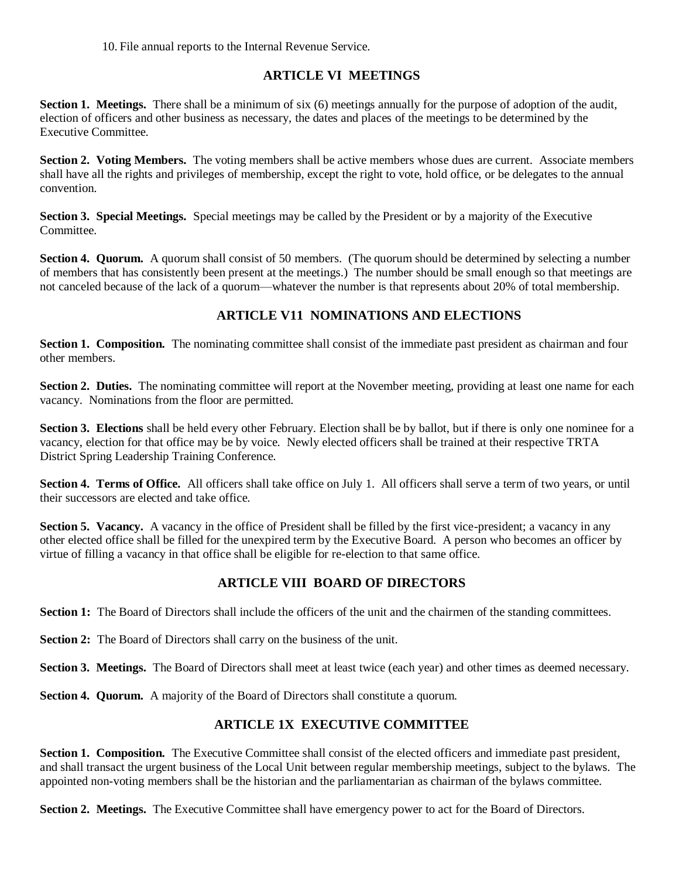10. File annual reports to the Internal Revenue Service.

# **ARTICLE VI MEETINGS**

**Section 1. Meetings.** There shall be a minimum of six (6) meetings annually for the purpose of adoption of the audit, election of officers and other business as necessary, the dates and places of the meetings to be determined by the Executive Committee.

**Section 2. Voting Members.** The voting members shall be active members whose dues are current. Associate members shall have all the rights and privileges of membership, except the right to vote, hold office, or be delegates to the annual convention.

**Section 3. Special Meetings.** Special meetings may be called by the President or by a majority of the Executive Committee.

**Section 4. Quorum.** A quorum shall consist of 50 members. (The quorum should be determined by selecting a number of members that has consistently been present at the meetings.) The number should be small enough so that meetings are not canceled because of the lack of a quorum—whatever the number is that represents about 20% of total membership.

# **ARTICLE V11 NOMINATIONS AND ELECTIONS**

**Section 1. Composition.** The nominating committee shall consist of the immediate past president as chairman and four other members.

**Section 2. Duties.** The nominating committee will report at the November meeting, providing at least one name for each vacancy. Nominations from the floor are permitted.

**Section 3. Elections** shall be held every other February. Election shall be by ballot, but if there is only one nominee for a vacancy, election for that office may be by voice. Newly elected officers shall be trained at their respective TRTA District Spring Leadership Training Conference.

**Section 4. Terms of Office.** All officers shall take office on July 1. All officers shall serve a term of two years, or until their successors are elected and take office.

**Section 5. Vacancy.** A vacancy in the office of President shall be filled by the first vice-president; a vacancy in any other elected office shall be filled for the unexpired term by the Executive Board. A person who becomes an officer by virtue of filling a vacancy in that office shall be eligible for re-election to that same office.

# **ARTICLE VIII BOARD OF DIRECTORS**

**Section 1:** The Board of Directors shall include the officers of the unit and the chairmen of the standing committees.

**Section 2:** The Board of Directors shall carry on the business of the unit.

**Section 3. Meetings.** The Board of Directors shall meet at least twice (each year) and other times as deemed necessary.

**Section 4. Quorum.** A majority of the Board of Directors shall constitute a quorum.

### **ARTICLE 1X EXECUTIVE COMMITTEE**

**Section 1. Composition.** The Executive Committee shall consist of the elected officers and immediate past president, and shall transact the urgent business of the Local Unit between regular membership meetings, subject to the bylaws. The appointed non-voting members shall be the historian and the parliamentarian as chairman of the bylaws committee.

**Section 2. Meetings.** The Executive Committee shall have emergency power to act for the Board of Directors.